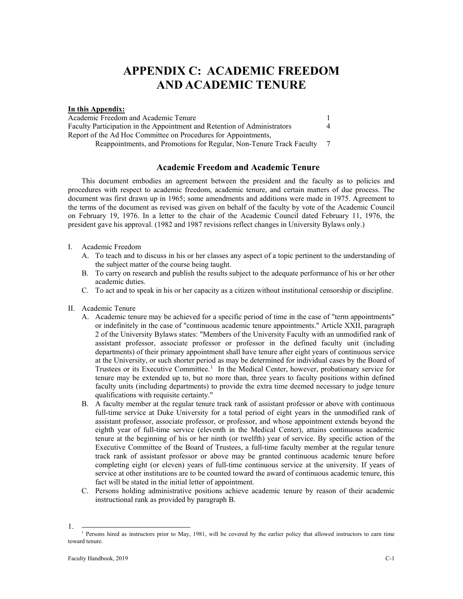# **APPENDIX C: ACADEMIC FREEDOM AND ACADEMIC TENURE**

### **In this Appendix:**

[Academic Freedom and Academic Tenure](#page-0-0) 1 [Faculty Participation in the Appointment and Retention of](#page-3-0) Administrators 4 [Report of the Ad Hoc Committee on Procedures for Appointments,](#page-6-0)  [Reappointments, and Promotions for Regular, Non-Tenure Track Faculty](#page-6-0) 7

# **Academic Freedom and Academic Tenure**

<span id="page-0-0"></span>This document embodies an agreement between the president and the faculty as to policies and procedures with respect to academic freedom, academic tenure, and certain matters of due process. The document was first drawn up in 1965; some amendments and additions were made in 1975. Agreement to the terms of the document as revised was given on behalf of the faculty by vote of the Academic Council on February 19, 1976. In a letter to the chair of the Academic Council dated February 11, 1976, the president gave his approval. (1982 and 1987 revisions reflect changes in University Bylaws only.)

- I. Academic Freedom
	- A. To teach and to discuss in his or her classes any aspect of a topic pertinent to the understanding of the subject matter of the course being taught.
	- B. To carry on research and publish the results subject to the adequate performance of his or her other academic duties.
	- C. To act and to speak in his or her capacity as a citizen without institutional censorship or discipline.
- II. Academic Tenure
	- A. Academic tenure may be achieved for a specific period of time in the case of "term appointments" or indefinitely in the case of "continuous academic tenure appointments." Article XXII, paragraph 2 of the University Bylaws states: "Members of the University Faculty with an unmodified rank of assistant professor, associate professor or professor in the defined faculty unit (including departments) of their primary appointment shall have tenure after eight years of continuous service at the University, or such shorter period as may be determined for individual cases by the Board of Trustees or its Executive Committee.<sup>[1](#page-0-1)</sup> In the Medical Center, however, probationary service for tenure may be extended up to, but no more than, three years to faculty positions within defined faculty units (including departments) to provide the extra time deemed necessary to judge tenure qualifications with requisite certainty."
	- B. A faculty member at the regular tenure track rank of assistant professor or above with continuous full-time service at Duke University for a total period of eight years in the unmodified rank of assistant professor, associate professor, or professor, and whose appointment extends beyond the eighth year of full-time service (eleventh in the Medical Center), attains continuous academic tenure at the beginning of his or her ninth (or twelfth) year of service. By specific action of the Executive Committee of the Board of Trustees, a full-time faculty member at the regular tenure track rank of assistant professor or above may be granted continuous academic tenure before completing eight (or eleven) years of full-time continuous service at the university. If years of service at other institutions are to be counted toward the award of continuous academic tenure, this fact will be stated in the initial letter of appointment.
	- C. Persons holding administrative positions achieve academic tenure by reason of their academic instructional rank as provided by paragraph B.

<span id="page-0-1"></span><sup>1.</sup>  $\frac{1}{1}$  Persons hired as instructors prior to May, 1981, will be covered by the earlier policy that allowed instructors to earn time toward tenure.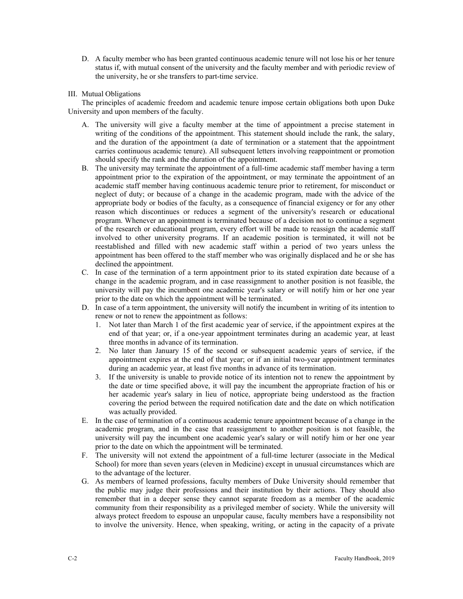D. A faculty member who has been granted continuous academic tenure will not lose his or her tenure status if, with mutual consent of the university and the faculty member and with periodic review of the university, he or she transfers to part-time service.

# III. Mutual Obligations

The principles of academic freedom and academic tenure impose certain obligations both upon Duke University and upon members of the faculty.

- A. The university will give a faculty member at the time of appointment a precise statement in writing of the conditions of the appointment. This statement should include the rank, the salary, and the duration of the appointment (a date of termination or a statement that the appointment carries continuous academic tenure). All subsequent letters involving reappointment or promotion should specify the rank and the duration of the appointment.
- B. The university may terminate the appointment of a full-time academic staff member having a term appointment prior to the expiration of the appointment, or may terminate the appointment of an academic staff member having continuous academic tenure prior to retirement, for misconduct or neglect of duty; or because of a change in the academic program, made with the advice of the appropriate body or bodies of the faculty, as a consequence of financial exigency or for any other reason which discontinues or reduces a segment of the university's research or educational program. Whenever an appointment is terminated because of a decision not to continue a segment of the research or educational program, every effort will be made to reassign the academic staff involved to other university programs. If an academic position is terminated, it will not be reestablished and filled with new academic staff within a period of two years unless the appointment has been offered to the staff member who was originally displaced and he or she has declined the appointment.
- C. In case of the termination of a term appointment prior to its stated expiration date because of a change in the academic program, and in case reassignment to another position is not feasible, the university will pay the incumbent one academic year's salary or will notify him or her one year prior to the date on which the appointment will be terminated.
- D. In case of a term appointment, the university will notify the incumbent in writing of its intention to renew or not to renew the appointment as follows:
	- 1. Not later than March 1 of the first academic year of service, if the appointment expires at the end of that year; or, if a one-year appointment terminates during an academic year, at least three months in advance of its termination.
	- 2. No later than January 15 of the second or subsequent academic years of service, if the appointment expires at the end of that year; or if an initial two-year appointment terminates during an academic year, at least five months in advance of its termination.
	- 3. If the university is unable to provide notice of its intention not to renew the appointment by the date or time specified above, it will pay the incumbent the appropriate fraction of his or her academic year's salary in lieu of notice, appropriate being understood as the fraction covering the period between the required notification date and the date on which notification was actually provided.
- E. In the case of termination of a continuous academic tenure appointment because of a change in the academic program, and in the case that reassignment to another position is not feasible, the university will pay the incumbent one academic year's salary or will notify him or her one year prior to the date on which the appointment will be terminated.
- F. The university will not extend the appointment of a full-time lecturer (associate in the Medical School) for more than seven years (eleven in Medicine) except in unusual circumstances which are to the advantage of the lecturer.
- G. As members of learned professions, faculty members of Duke University should remember that the public may judge their professions and their institution by their actions. They should also remember that in a deeper sense they cannot separate freedom as a member of the academic community from their responsibility as a privileged member of society. While the university will always protect freedom to espouse an unpopular cause, faculty members have a responsibility not to involve the university. Hence, when speaking, writing, or acting in the capacity of a private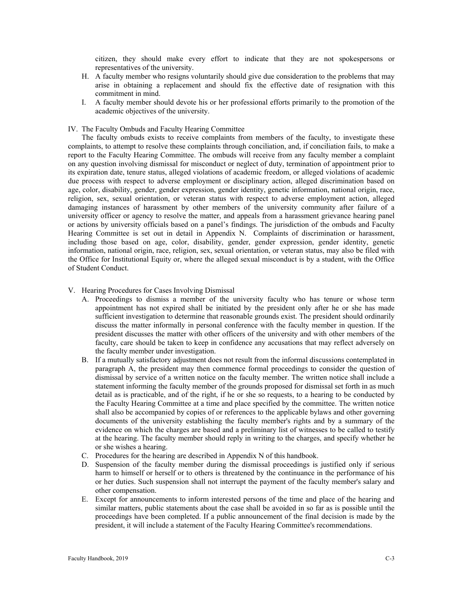citizen, they should make every effort to indicate that they are not spokespersons or representatives of the university.

- H. A faculty member who resigns voluntarily should give due consideration to the problems that may arise in obtaining a replacement and should fix the effective date of resignation with this commitment in mind.
- I. A faculty member should devote his or her professional efforts primarily to the promotion of the academic objectives of the university.

# IV. The Faculty Ombuds and Faculty Hearing Committee

The faculty ombuds exists to receive complaints from members of the faculty, to investigate these complaints, to attempt to resolve these complaints through conciliation, and, if conciliation fails, to make a report to the Faculty Hearing Committee. The ombuds will receive from any faculty member a complaint on any question involving dismissal for misconduct or neglect of duty, termination of appointment prior to its expiration date, tenure status, alleged violations of academic freedom, or alleged violations of academic due process with respect to adverse employment or disciplinary action, alleged discrimination based on age, color, disability, gender, gender expression, gender identity, genetic information, national origin, race, religion, sex, sexual orientation, or veteran status with respect to adverse employment action, alleged damaging instances of harassment by other members of the university community after failure of a university officer or agency to resolve the matter, and appeals from a harassment grievance hearing panel or actions by university officials based on a panel's findings. The jurisdiction of the ombuds and Faculty Hearing Committee is set out in detail in Appendix N. Complaints of discrimination or harassment, including those based on age, color, disability, gender, gender expression, gender identity, genetic information, national origin, race, religion, sex, sexual orientation, or veteran status, may also be filed with the Office for Institutional Equity or, where the alleged sexual misconduct is by a student, with the Office of Student Conduct.

### V. Hearing Procedures for Cases Involving Dismissal

- A. Proceedings to dismiss a member of the university faculty who has tenure or whose term appointment has not expired shall be initiated by the president only after he or she has made sufficient investigation to determine that reasonable grounds exist. The president should ordinarily discuss the matter informally in personal conference with the faculty member in question. If the president discusses the matter with other officers of the university and with other members of the faculty, care should be taken to keep in confidence any accusations that may reflect adversely on the faculty member under investigation.
- B. If a mutually satisfactory adjustment does not result from the informal discussions contemplated in paragraph A, the president may then commence formal proceedings to consider the question of dismissal by service of a written notice on the faculty member. The written notice shall include a statement informing the faculty member of the grounds proposed for dismissal set forth in as much detail as is practicable, and of the right, if he or she so requests, to a hearing to be conducted by the Faculty Hearing Committee at a time and place specified by the committee. The written notice shall also be accompanied by copies of or references to the applicable bylaws and other governing documents of the university establishing the faculty member's rights and by a summary of the evidence on which the charges are based and a preliminary list of witnesses to be called to testify at the hearing. The faculty member should reply in writing to the charges, and specify whether he or she wishes a hearing.
- C. Procedures for the hearing are described in Appendix N of this handbook.
- D. Suspension of the faculty member during the dismissal proceedings is justified only if serious harm to himself or herself or to others is threatened by the continuance in the performance of his or her duties. Such suspension shall not interrupt the payment of the faculty member's salary and other compensation.
- E. Except for announcements to inform interested persons of the time and place of the hearing and similar matters, public statements about the case shall be avoided in so far as is possible until the proceedings have been completed. If a public announcement of the final decision is made by the president, it will include a statement of the Faculty Hearing Committee's recommendations.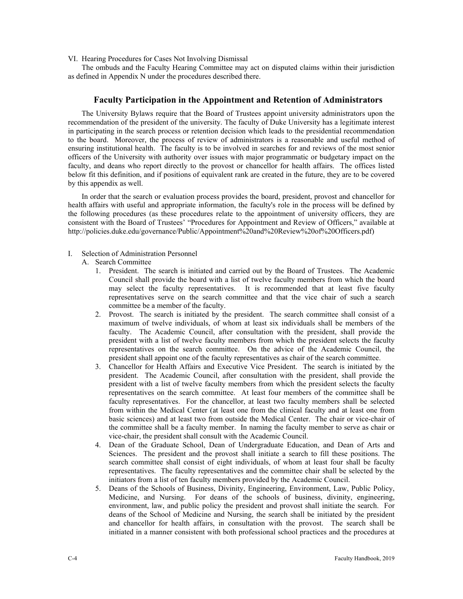VI. Hearing Procedures for Cases Not Involving Dismissal

<span id="page-3-0"></span>The ombuds and the Faculty Hearing Committee may act on disputed claims within their jurisdiction as defined in Appendix N under the procedures described there.

# **Faculty Participation in the Appointment and Retention of Administrators**

The University Bylaws require that the Board of Trustees appoint university administrators upon the recommendation of the president of the university. The faculty of Duke University has a legitimate interest in participating in the search process or retention decision which leads to the presidential recommendation to the board. Moreover, the process of review of administrators is a reasonable and useful method of ensuring institutional health. The faculty is to be involved in searches for and reviews of the most senior officers of the University with authority over issues with major programmatic or budgetary impact on the faculty, and deans who report directly to the provost or chancellor for health affairs. The offices listed below fit this definition, and if positions of equivalent rank are created in the future, they are to be covered by this appendix as well.

In order that the search or evaluation process provides the board, president, provost and chancellor for health affairs with useful and appropriate information, the faculty's role in the process will be defined by the following procedures (as these procedures relate to the appointment of university officers, they are consistent with the Board of Trustees' "Procedures for Appointment and Review of Officers," available at [http://policies.duke.edu/governance/Public/Appointment%20and%20Review%20of%20Officers.pdf\)](http://policies.duke.edu/governance/Public/Appointment%20and%20Review%20of%20Officers.pdf)

# I. Selection of Administration Personnel

- A. Search Committee
	- 1. President. The search is initiated and carried out by the Board of Trustees. The Academic Council shall provide the board with a list of twelve faculty members from which the board may select the faculty representatives. It is recommended that at least five faculty representatives serve on the search committee and that the vice chair of such a search committee be a member of the faculty.
	- 2. Provost. The search is initiated by the president. The search committee shall consist of a maximum of twelve individuals, of whom at least six individuals shall be members of the faculty. The Academic Council, after consultation with the president, shall provide the president with a list of twelve faculty members from which the president selects the faculty representatives on the search committee. On the advice of the Academic Council, the president shall appoint one of the faculty representatives as chair of the search committee.
	- 3. Chancellor for Health Affairs and Executive Vice President. The search is initiated by the president. The Academic Council, after consultation with the president, shall provide the president with a list of twelve faculty members from which the president selects the faculty representatives on the search committee. At least four members of the committee shall be faculty representatives. For the chancellor, at least two faculty members shall be selected from within the Medical Center (at least one from the clinical faculty and at least one from basic sciences) and at least two from outside the Medical Center. The chair or vice-chair of the committee shall be a faculty member. In naming the faculty member to serve as chair or vice-chair, the president shall consult with the Academic Council.
	- 4. Dean of the Graduate School, Dean of Undergraduate Education, and Dean of Arts and Sciences. The president and the provost shall initiate a search to fill these positions. The search committee shall consist of eight individuals, of whom at least four shall be faculty representatives. The faculty representatives and the committee chair shall be selected by the initiators from a list of ten faculty members provided by the Academic Council.
	- 5. Deans of the Schools of Business, Divinity, Engineering, Environment, Law, Public Policy, Medicine, and Nursing. For deans of the schools of business, divinity, engineering, environment, law, and public policy the president and provost shall initiate the search. For deans of the School of Medicine and Nursing, the search shall be initiated by the president and chancellor for health affairs, in consultation with the provost. The search shall be initiated in a manner consistent with both professional school practices and the procedures at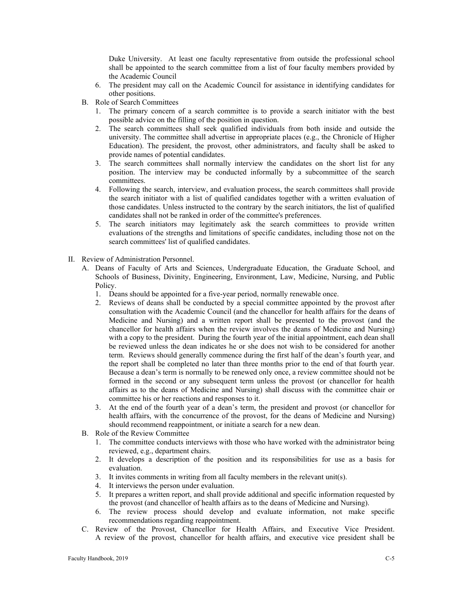Duke University. At least one faculty representative from outside the professional school shall be appointed to the search committee from a list of four faculty members provided by the Academic Council

- 6. The president may call on the Academic Council for assistance in identifying candidates for other positions.
- B. Role of Search Committees
	- 1. The primary concern of a search committee is to provide a search initiator with the best possible advice on the filling of the position in question.
	- 2. The search committees shall seek qualified individuals from both inside and outside the university. The committee shall advertise in appropriate places (e.g., the Chronicle of Higher Education). The president, the provost, other administrators, and faculty shall be asked to provide names of potential candidates.
	- 3. The search committees shall normally interview the candidates on the short list for any position. The interview may be conducted informally by a subcommittee of the search committees.
	- 4. Following the search, interview, and evaluation process, the search committees shall provide the search initiator with a list of qualified candidates together with a written evaluation of those candidates. Unless instructed to the contrary by the search initiators, the list of qualified candidates shall not be ranked in order of the committee's preferences.
	- 5. The search initiators may legitimately ask the search committees to provide written evaluations of the strengths and limitations of specific candidates, including those not on the search committees' list of qualified candidates.
- II. Review of Administration Personnel.
	- A. Deans of Faculty of Arts and Sciences, Undergraduate Education, the Graduate School, and Schools of Business, Divinity, Engineering, Environment, Law, Medicine, Nursing, and Public Policy.
		- 1. Deans should be appointed for a five-year period, normally renewable once.
		- 2. Reviews of deans shall be conducted by a special committee appointed by the provost after consultation with the Academic Council (and the chancellor for health affairs for the deans of Medicine and Nursing) and a written report shall be presented to the provost (and the chancellor for health affairs when the review involves the deans of Medicine and Nursing) with a copy to the president. During the fourth year of the initial appointment, each dean shall be reviewed unless the dean indicates he or she does not wish to be considered for another term. Reviews should generally commence during the first half of the dean's fourth year, and the report shall be completed no later than three months prior to the end of that fourth year. Because a dean's term is normally to be renewed only once, a review committee should not be formed in the second or any subsequent term unless the provost (or chancellor for health affairs as to the deans of Medicine and Nursing) shall discuss with the committee chair or committee his or her reactions and responses to it.
		- 3. At the end of the fourth year of a dean's term, the president and provost (or chancellor for health affairs, with the concurrence of the provost, for the deans of Medicine and Nursing) should recommend reappointment, or initiate a search for a new dean.
	- B. Role of the Review Committee
		- 1. The committee conducts interviews with those who have worked with the administrator being reviewed, e.g., department chairs.
		- 2. It develops a description of the position and its responsibilities for use as a basis for evaluation.
		- 3. It invites comments in writing from all faculty members in the relevant unit(s).
		- 4. It interviews the person under evaluation.
		- 5. It prepares a written report, and shall provide additional and specific information requested by the provost (and chancellor of health affairs as to the deans of Medicine and Nursing).
		- 6. The review process should develop and evaluate information, not make specific recommendations regarding reappointment.
	- C. Review of the Provost, Chancellor for Health Affairs, and Executive Vice President. A review of the provost, chancellor for health affairs, and executive vice president shall be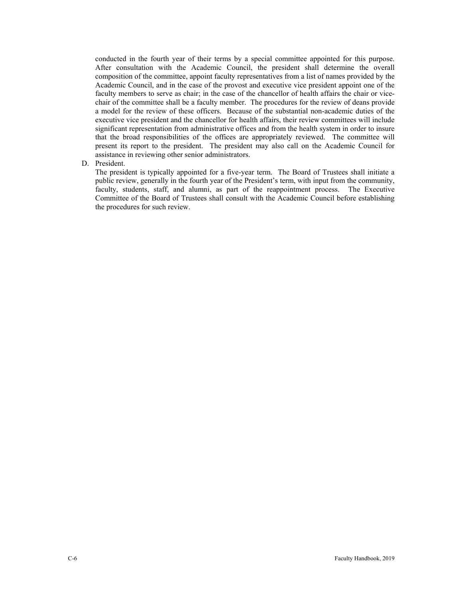conducted in the fourth year of their terms by a special committee appointed for this purpose. After consultation with the Academic Council, the president shall determine the overall composition of the committee, appoint faculty representatives from a list of names provided by the Academic Council, and in the case of the provost and executive vice president appoint one of the faculty members to serve as chair; in the case of the chancellor of health affairs the chair or vicechair of the committee shall be a faculty member. The procedures for the review of deans provide a model for the review of these officers. Because of the substantial non-academic duties of the executive vice president and the chancellor for health affairs, their review committees will include significant representation from administrative offices and from the health system in order to insure that the broad responsibilities of the offices are appropriately reviewed. The committee will present its report to the president. The president may also call on the Academic Council for assistance in reviewing other senior administrators.

# D. President.

The president is typically appointed for a five-year term. The Board of Trustees shall initiate a public review, generally in the fourth year of the President's term, with input from the community, faculty, students, staff, and alumni, as part of the reappointment process. The Executive Committee of the Board of Trustees shall consult with the Academic Council before establishing the procedures for such review.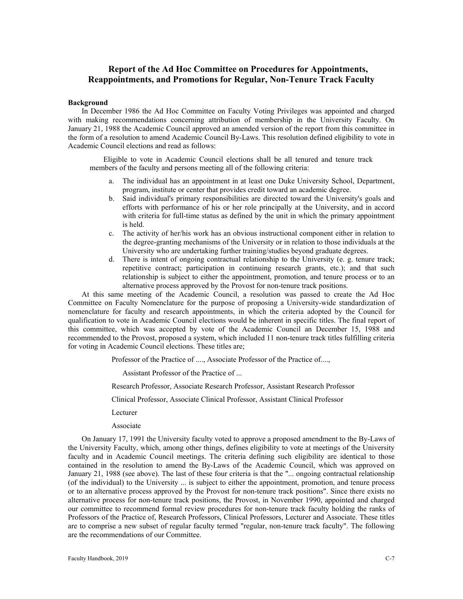# <span id="page-6-0"></span>**Report of the Ad Hoc Committee on Procedures for Appointments, Reappointments, and Promotions for Regular, Non-Tenure Track Faculty**

#### **Background**

In December 1986 the Ad Hoc Committee on Faculty Voting Privileges was appointed and charged with making recommendations concerning attribution of membership in the University Faculty. On January 21, 1988 the Academic Council approved an amended version of the report from this committee in the form of a resolution to amend Academic Council By-Laws. This resolution defined eligibility to vote in Academic Council elections and read as follows:

Eligible to vote in Academic Council elections shall be all tenured and tenure track members of the faculty and persons meeting all of the following criteria:

- a. The individual has an appointment in at least one Duke University School, Department, program, institute or center that provides credit toward an academic degree.
- b. Said individual's primary responsibilities are directed toward the University's goals and efforts with performance of his or her role principally at the University, and in accord with criteria for full-time status as defined by the unit in which the primary appointment is held.
- c. The activity of her/his work has an obvious instructional component either in relation to the degree-granting mechanisms of the University or in relation to those individuals at the University who are undertaking further training/studies beyond graduate degrees.
- d. There is intent of ongoing contractual relationship to the University (e. g. tenure track; repetitive contract; participation in continuing research grants, etc.); and that such relationship is subject to either the appointment, promotion, and tenure process or to an alternative process approved by the Provost for non-tenure track positions.

At this same meeting of the Academic Council, a resolution was passed to create the Ad Hoc Committee on Faculty Nomenclature for the purpose of proposing a University-wide standardization of nomenclature for faculty and research appointments, in which the criteria adopted by the Council for qualification to vote in Academic Council elections would be inherent in specific titles. The final report of this committee, which was accepted by vote of the Academic Council an December 15, 1988 and recommended to the Provost, proposed a system, which included 11 non-tenure track titles fulfilling criteria for voting in Academic Council elections. These titles are;

Professor of the Practice of ...., Associate Professor of the Practice of....,

Assistant Professor of the Practice of ...

Research Professor, Associate Research Professor, Assistant Research Professor

Clinical Professor, Associate Clinical Professor, Assistant Clinical Professor

- Lecturer
- Associate

On January 17, 1991 the University faculty voted to approve a proposed amendment to the By-Laws of the University Faculty, which, among other things, defines eligibility to vote at meetings of the University faculty and in Academic Council meetings. The criteria defining such eligibility are identical to those contained in the resolution to amend the By-Laws of the Academic Council, which was approved on January 21, 1988 (see above). The last of these four criteria is that the "... ongoing contractual relationship (of the individual) to the University ... is subject to either the appointment, promotion, and tenure process or to an alternative process approved by the Provost for non-tenure track positions". Since there exists no alternative process for non-tenure track positions, the Provost, in November 1990, appointed and charged our committee to recommend formal review procedures for non-tenure track faculty holding the ranks of Professors of the Practice of, Research Professors, Clinical Professors, Lecturer and Associate. These titles are to comprise a new subset of regular faculty termed "regular, non-tenure track faculty". The following are the recommendations of our Committee.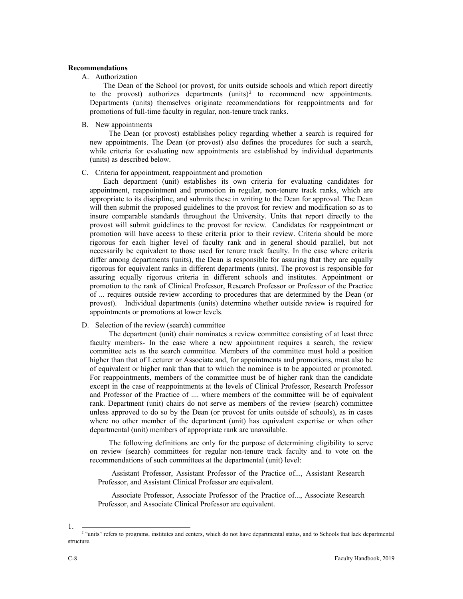### **Recommendations**

### A. Authorization

The Dean of the School (or provost, for units outside schools and which report directly to the provost) authorizes departments  $(units)<sup>2</sup>$  $(units)<sup>2</sup>$  $(units)<sup>2</sup>$  to recommend new appointments. Departments (units) themselves originate recommendations for reappointments and for promotions of full-time faculty in regular, non-tenure track ranks.

B. New appointments

The Dean (or provost) establishes policy regarding whether a search is required for new appointments. The Dean (or provost) also defines the procedures for such a search, while criteria for evaluating new appointments are established by individual departments (units) as described below.

### C. Criteria for appointment, reappointment and promotion

Each department (unit) establishes its own criteria for evaluating candidates for appointment, reappointment and promotion in regular, non-tenure track ranks, which are appropriate to its discipline, and submits these in writing to the Dean for approval. The Dean will then submit the proposed guidelines to the provost for review and modification so as to insure comparable standards throughout the University. Units that report directly to the provost will submit guidelines to the provost for review. Candidates for reappointment or promotion will have access to these criteria prior to their review. Criteria should be more rigorous for each higher level of faculty rank and in general should parallel, but not necessarily be equivalent to those used for tenure track faculty. In the case where criteria differ among departments (units), the Dean is responsible for assuring that they are equally rigorous for equivalent ranks in different departments (units). The provost is responsible for assuring equally rigorous criteria in different schools and institutes. Appointment or promotion to the rank of Clinical Professor, Research Professor or Professor of the Practice of ... requires outside review according to procedures that are determined by the Dean (or provost). Individual departments (units) determine whether outside review is required for appointments or promotions at lower levels.

### D. Selection of the review (search) committee

The department (unit) chair nominates a review committee consisting of at least three faculty members- In the case where a new appointment requires a search, the review committee acts as the search committee. Members of the committee must hold a position higher than that of Lecturer or Associate and, for appointments and promotions, must also be of equivalent or higher rank than that to which the nominee is to be appointed or promoted. For reappointments, members of the committee must be of higher rank than the candidate except in the case of reappointments at the levels of Clinical Professor, Research Professor and Professor of the Practice of .... where members of the committee will be of equivalent rank. Department (unit) chairs do not serve as members of the review (search) committee unless approved to do so by the Dean (or provost for units outside of schools), as in cases where no other member of the department (unit) has equivalent expertise or when other departmental (unit) members of appropriate rank are unavailable.

The following definitions are only for the purpose of determining eligibility to serve on review (search) committees for regular non-tenure track faculty and to vote on the recommendations of such committees at the departmental (unit) level:

Assistant Professor, Assistant Professor of the Practice of..., Assistant Research Professor, and Assistant Clinical Professor are equivalent.

Associate Professor, Associate Professor of the Practice of..., Associate Research Professor, and Associate Clinical Professor are equivalent.

<span id="page-7-0"></span><sup>1.</sup>  $\frac{1}{2}$  "units" refers to programs, institutes and centers, which do not have departmental status, and to Schools that lack departmental structure.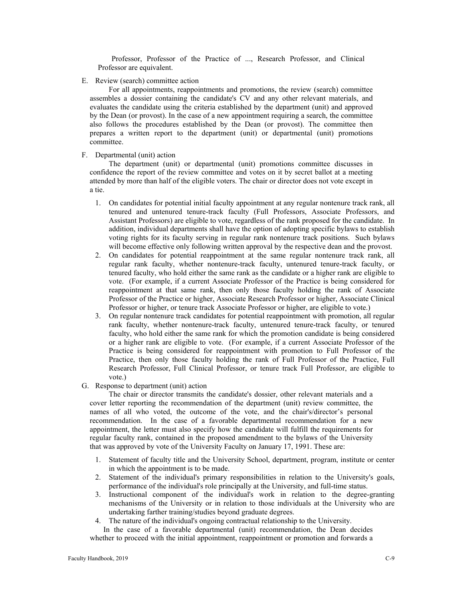Professor, Professor of the Practice of ..., Research Professor, and Clinical Professor are equivalent.

E. Review (search) committee action

For all appointments, reappointments and promotions, the review (search) committee assembles a dossier containing the candidate's CV and any other relevant materials, and evaluates the candidate using the criteria established by the department (unit) and approved by the Dean (or provost). In the case of a new appointment requiring a search, the committee also follows the procedures established by the Dean (or provost). The committee then prepares a written report to the department (unit) or departmental (unit) promotions committee.

F. Departmental (unit) action

The department (unit) or departmental (unit) promotions committee discusses in confidence the report of the review committee and votes on it by secret ballot at a meeting attended by more than half of the eligible voters. The chair or director does not vote except in a tie.

- 1. On candidates for potential initial faculty appointment at any regular nontenure track rank, all tenured and untenured tenure-track faculty (Full Professors, Associate Professors, and Assistant Professors) are eligible to vote, regardless of the rank proposed for the candidate. In addition, individual departments shall have the option of adopting specific bylaws to establish voting rights for its faculty serving in regular rank nontenure track positions. Such bylaws will become effective only following written approval by the respective dean and the provost.
- 2. On candidates for potential reappointment at the same regular nontenure track rank, all regular rank faculty, whether nontenure-track faculty, untenured tenure-track faculty, or tenured faculty, who hold either the same rank as the candidate or a higher rank are eligible to vote. (For example, if a current Associate Professor of the Practice is being considered for reappointment at that same rank, then only those faculty holding the rank of Associate Professor of the Practice or higher, Associate Research Professor or higher, Associate Clinical Professor or higher, or tenure track Associate Professor or higher, are eligible to vote.)
- 3. On regular nontenure track candidates for potential reappointment with promotion, all regular rank faculty, whether nontenure-track faculty, untenured tenure-track faculty, or tenured faculty, who hold either the same rank for which the promotion candidate is being considered or a higher rank are eligible to vote. (For example, if a current Associate Professor of the Practice is being considered for reappointment with promotion to Full Professor of the Practice, then only those faculty holding the rank of Full Professor of the Practice, Full Research Professor, Full Clinical Professor, or tenure track Full Professor, are eligible to vote.)
- G. Response to department (unit) action

The chair or director transmits the candidate's dossier, other relevant materials and a cover letter reporting the recommendation of the department (unit) review committee, the names of all who voted, the outcome of the vote, and the chair's/director's personal recommendation. In the case of a favorable departmental recommendation for a new appointment, the letter must also specify how the candidate will fulfill the requirements for regular faculty rank, contained in the proposed amendment to the bylaws of the University that was approved by vote of the University Faculty on January 17, 1991. These are:

- 1. Statement of faculty title and the University School, department, program, institute or center in which the appointment is to be made.
- 2. Statement of the individual's primary responsibilities in relation to the University's goals, performance of the individual's role principally at the University, and full-time status.
- 3. Instructional component of the individual's work in relation to the degree-granting mechanisms of the University or in relation to those individuals at the University who are undertaking farther training/studies beyond graduate degrees.
- 4. The nature of the individual's ongoing contractual relationship to the University.

In the case of a favorable departmental (unit) recommendation, the Dean decides whether to proceed with the initial appointment, reappointment or promotion and forwards a